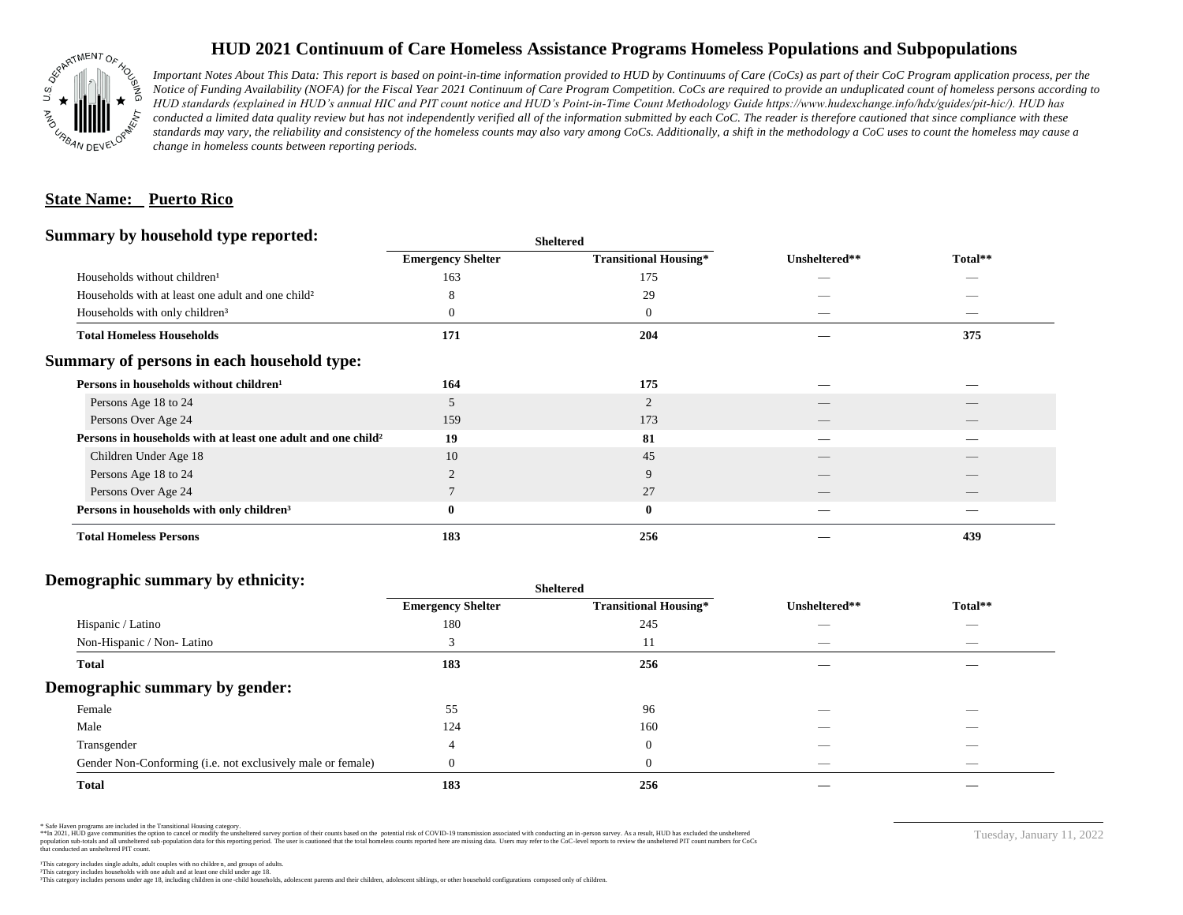

## **HUD 2021 Continuum of Care Homeless Assistance Programs Homeless Populations and Subpopulations**

*Important Notes About This Data: This report is based on point-in-time information provided to HUD by Continuums of Care (CoCs) as part of their CoC Program application process, per the Notice of Funding Availability (NOFA) for the Fiscal Year 2021 Continuum of Care Program Competition. CoCs are required to provide an unduplicated count of homeless persons according to HUD standards (explained in HUD's annual HIC and PIT count notice and HUD's Point-in-Time Count Methodology Guide https://www.hudexchange.info/hdx/guides/pit-hic/). HUD has*  conducted a limited data quality review but has not independently verified all of the information submitted by each CoC. The reader is therefore cautioned that since compliance with these standards may vary, the reliability and consistency of the homeless counts may also vary among CoCs. Additionally, a shift in the methodology a CoC uses to count the homeless may cause a *change in homeless counts between reporting periods.*

#### **State Name: Puerto Rico**

#### **Summary by household type reported:**

|                                                                          | patter                   |                              |               |         |  |
|--------------------------------------------------------------------------|--------------------------|------------------------------|---------------|---------|--|
|                                                                          | <b>Emergency Shelter</b> | <b>Transitional Housing*</b> | Unsheltered** | Total** |  |
| Households without children <sup>1</sup>                                 | 163                      | 175                          |               | _       |  |
| Households with at least one adult and one child <sup>2</sup>            | Δ                        | 29                           |               |         |  |
| Households with only children <sup>3</sup>                               | 0                        | $\mathbf{0}$                 |               |         |  |
| <b>Total Homeless Households</b>                                         | 171                      | 204                          |               | 375     |  |
| Summary of persons in each household type:                               |                          |                              |               |         |  |
| Persons in households without children <sup>1</sup>                      | 164                      | 175                          |               |         |  |
| Persons Age 18 to 24                                                     | 5                        | $\overline{2}$               |               |         |  |
| Persons Over Age 24                                                      | 159                      | 173                          |               |         |  |
| Persons in households with at least one adult and one child <sup>2</sup> | 19                       | 81                           |               |         |  |
| Children Under Age 18                                                    | 10                       | 45                           |               |         |  |
| Persons Age 18 to 24                                                     |                          | 9                            |               |         |  |
| Persons Over Age 24                                                      |                          | 27                           |               |         |  |
| Persons in households with only children <sup>3</sup>                    | 0                        | $\bf{0}$                     |               |         |  |
| <b>Total Homeless Persons</b>                                            | 183                      | 256                          |               | 439     |  |
|                                                                          |                          |                              |               |         |  |

**Sheltered**

## **Demographic summary by ethnicity:**

| ັ<br>. .<br>$\bullet$<br>. .<br>$\ddot{\phantom{1}}$        | Sneitered                |                              |                                 |                                |
|-------------------------------------------------------------|--------------------------|------------------------------|---------------------------------|--------------------------------|
|                                                             | <b>Emergency Shelter</b> | <b>Transitional Housing*</b> | Unsheltered**                   | Total**                        |
| Hispanic / Latino                                           | 180                      | 245                          | _                               | $\overbrace{\hspace{25mm}}^{}$ |
| Non-Hispanic / Non-Latino                                   |                          | 11                           | $\hspace{0.05cm}$               | $\overbrace{\hspace{25mm}}^{}$ |
| <b>Total</b>                                                | 183                      | 256                          |                                 |                                |
| Demographic summary by gender:                              |                          |                              |                                 |                                |
| Female                                                      | 55                       | 96                           |                                 | $\overline{\phantom{a}}$       |
| Male                                                        | 124                      | 160                          | ___                             | $\overline{\phantom{a}}$       |
| Transgender                                                 | 4                        | $\theta$                     | __                              | $\overline{\phantom{a}}$       |
| Gender Non-Conforming (i.e. not exclusively male or female) |                          | $\theta$                     | $\hspace{0.1mm}-\hspace{0.1mm}$ | $\overbrace{\hspace{25mm}}^{}$ |
| <b>Total</b>                                                | 183                      | 256                          |                                 |                                |

**Sheltered**

\* Safe Haven programs are included in the Transitional Housing category.

\*\*In 2021, HUD gave communities the option to cancel or modify the unsheltered survey portion of their counts based on the potential risk of COVID-19 transmission associated with conducting an in-person survey. As a result n political data for this reporting period. The user is cautioned that the total homeless counts reported here are missing data. Users may refer to the CoC-level reports to review the unshellered PIT count numbers for CoCs that conducted an unsheltered PIT count.

Tuesday, January 11, 2022